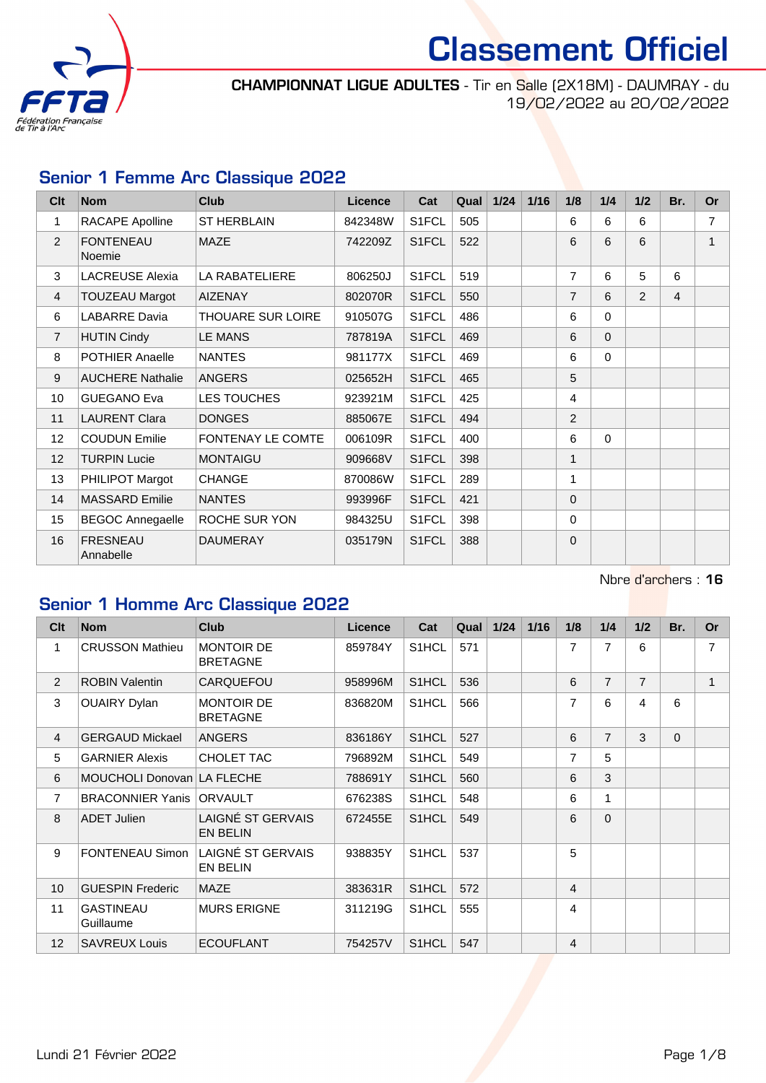

CHAMPIONNAT LIGUE ADULTES - Tir en Salle (2X18M) - DAUMRAY - du 19/02/2022 au 20/02/2022

### Senior 1 Femme Arc Classique 2022

| Clt             | <b>Nom</b>                   | <b>Club</b>              | <b>Licence</b> | Cat                | Qual | $1/24$ | 1/16 | 1/8            | 1/4      | 1/2           | Br.            | <b>Or</b>      |
|-----------------|------------------------------|--------------------------|----------------|--------------------|------|--------|------|----------------|----------|---------------|----------------|----------------|
| 1               | RACAPE Apolline              | <b>ST HERBLAIN</b>       | 842348W        | S1FCL              | 505  |        |      | 6              | 6        | 6             |                | $\overline{7}$ |
| $\overline{2}$  | <b>FONTENEAU</b><br>Noemie   | <b>MAZE</b>              | 742209Z        | S <sub>1</sub> FCL | 522  |        |      | 6              | 6        | 6             |                | $\mathbf{1}$   |
| 3               | <b>LACREUSE Alexia</b>       | LA RABATELIERE           | 806250J        | S1FCL              | 519  |        |      | $\overline{7}$ | 6        | 5             | 6              |                |
| 4               | <b>TOUZEAU Margot</b>        | <b>AIZENAY</b>           | 802070R        | S1FCL              | 550  |        |      | $\overline{7}$ | 6        | $\mathcal{P}$ | $\overline{4}$ |                |
| 6               | <b>LABARRE Davia</b>         | THOUARE SUR LOIRE        | 910507G        | S1FCL              | 486  |        |      | 6              | $\Omega$ |               |                |                |
| $\overline{7}$  | <b>HUTIN Cindy</b>           | <b>LE MANS</b>           | 787819A        | S1FCL              | 469  |        |      | 6              | $\Omega$ |               |                |                |
| 8               | <b>POTHIER Anaelle</b>       | <b>NANTES</b>            | 981177X        | S1FCL              | 469  |        |      | 6              | $\Omega$ |               |                |                |
| 9               | <b>AUCHERE Nathalie</b>      | <b>ANGERS</b>            | 025652H        | S1FCL              | 465  |        |      | 5              |          |               |                |                |
| 10              | <b>GUEGANO Eva</b>           | LES TOUCHES              | 923921M        | S1FCL              | 425  |        |      | 4              |          |               |                |                |
| 11              | <b>LAURENT Clara</b>         | <b>DONGES</b>            | 885067E        | S1FCL              | 494  |        |      | $\overline{2}$ |          |               |                |                |
| 12 <sub>2</sub> | <b>COUDUN Emilie</b>         | <b>FONTENAY LE COMTE</b> | 006109R        | S1FCL              | 400  |        |      | 6              | $\Omega$ |               |                |                |
| 12              | <b>TURPIN Lucie</b>          | <b>MONTAIGU</b>          | 909668V        | S1FCL              | 398  |        |      | $\mathbf{1}$   |          |               |                |                |
| 13              | PHILIPOT Margot              | <b>CHANGE</b>            | 870086W        | S1FCL              | 289  |        |      | 1              |          |               |                |                |
| 14              | <b>MASSARD Emilie</b>        | <b>NANTES</b>            | 993996F        | S1FCL              | 421  |        |      | $\mathbf{0}$   |          |               |                |                |
| 15              | <b>BEGOC Annegaelle</b>      | ROCHE SUR YON            | 984325U        | S1FCL              | 398  |        |      | $\Omega$       |          |               |                |                |
| 16              | <b>FRESNEAU</b><br>Annabelle | <b>DAUMERAY</b>          | 035179N        | S1FCL              | 388  |        |      | $\mathbf{0}$   |          |               |                |                |

Nbre d'archers : 16

### Senior 1 Homme Arc Classique 2022

| Cl <sub>t</sub> | <b>Nom</b>                    | <b>Club</b>                          | <b>Licence</b> | Cat                | Qual | $1/24$ | 1/16 | 1/8            | 1/4            | 1/2            | Br.      | <b>Or</b>      |
|-----------------|-------------------------------|--------------------------------------|----------------|--------------------|------|--------|------|----------------|----------------|----------------|----------|----------------|
| 1               | <b>CRUSSON Mathieu</b>        | <b>MONTOIR DE</b><br><b>BRETAGNE</b> | 859784Y        | S <sub>1</sub> HCL | 571  |        |      | 7              | 7              | 6              |          | $\overline{7}$ |
| 2               | <b>ROBIN Valentin</b>         | <b>CARQUEFOU</b>                     | 958996M        | S <sub>1</sub> HCL | 536  |        |      | 6              | $\overline{7}$ | $\overline{7}$ |          | 1              |
| 3               | <b>OUAIRY Dylan</b>           | <b>MONTOIR DE</b><br><b>BRETAGNE</b> | 836820M        | S1HCL              | 566  |        |      | $\overline{7}$ | 6              | 4              | 6        |                |
| 4               | <b>GERGAUD Mickael</b>        | <b>ANGERS</b>                        | 836186Y        | S1HCL              | 527  |        |      | 6              | $\overline{7}$ | 3              | $\Omega$ |                |
| 5               | <b>GARNIER Alexis</b>         | CHOLET TAC                           | 796892M        | S1HCL              | 549  |        |      | 7              | 5              |                |          |                |
| 6               | MOUCHOLI Donovan LA FLECHE    |                                      | 788691Y        | S1HCL              | 560  |        |      | 6              | 3              |                |          |                |
| $\overline{7}$  | <b>BRACONNIER Yanis</b>       | <b>ORVAULT</b>                       | 676238S        | S1HCL              | 548  |        |      | 6              | 1              |                |          |                |
| 8               | <b>ADET Julien</b>            | LAIGNÉ ST GERVAIS<br><b>EN BELIN</b> | 672455E        | S <sub>1</sub> HCL | 549  |        |      | 6              | $\Omega$       |                |          |                |
| 9               | <b>FONTENEAU Simon</b>        | LAIGNÉ ST GERVAIS<br><b>EN BELIN</b> | 938835Y        | S <sub>1</sub> HCL | 537  |        |      | 5              |                |                |          |                |
| 10              | <b>GUESPIN Frederic</b>       | <b>MAZE</b>                          | 383631R        | S1HCL              | 572  |        |      | 4              |                |                |          |                |
| 11              | <b>GASTINEAU</b><br>Guillaume | <b>MURS ERIGNE</b>                   | 311219G        | S1HCL              | 555  |        |      | 4              |                |                |          |                |
| 12 <sup>2</sup> | <b>SAVREUX Louis</b>          | <b>ECOUFLANT</b>                     | 754257V        | S <sub>1</sub> HCL | 547  |        |      | 4              |                |                |          |                |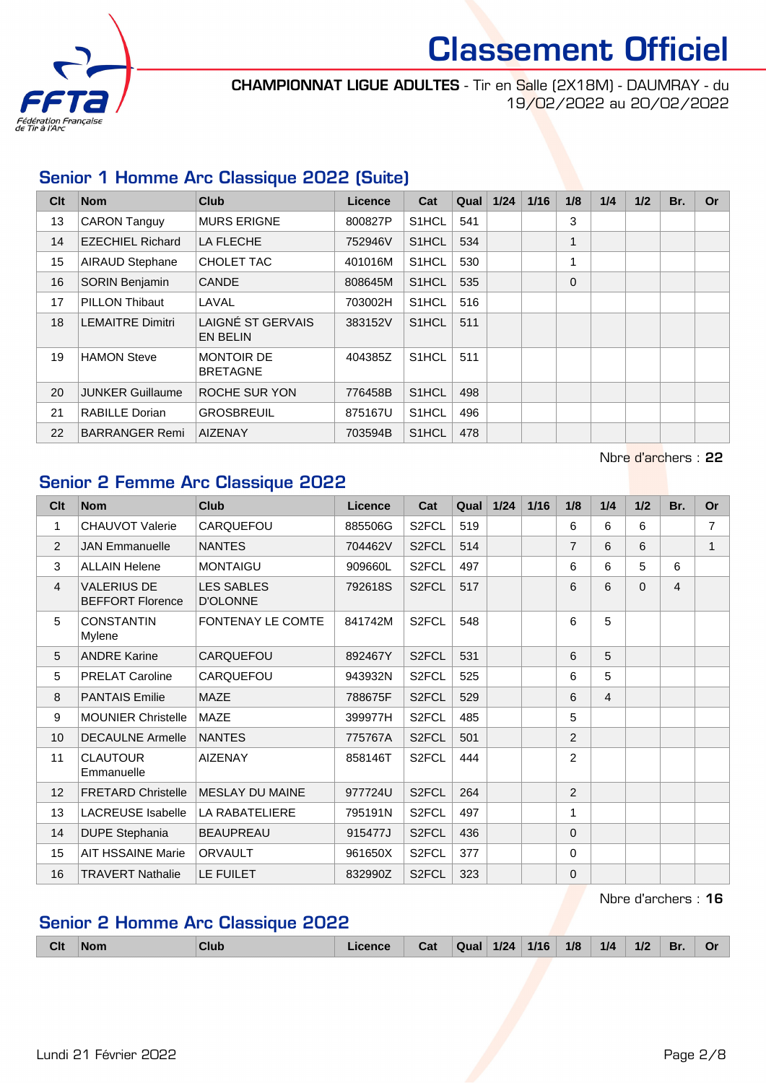

CHAMPIONNAT LIGUE ADULTES - Tir en Salle (2X18M) - DAUMRAY - du 19/02/2022 au 20/02/2022

#### Senior 1 Homme Arc Classique 2022 (Suite)

| Clt | <b>Nom</b>              | <b>Club</b>                                 | <b>Licence</b> | Cat                | Qual | 1/24 | 1/16 | 1/8      | 1/4 | 1/2 | Br. | Or |
|-----|-------------------------|---------------------------------------------|----------------|--------------------|------|------|------|----------|-----|-----|-----|----|
| 13  | <b>CARON Tanguy</b>     | <b>MURS ERIGNE</b>                          | 800827P        | S <sub>1</sub> HCL | 541  |      |      | 3        |     |     |     |    |
| 14  | <b>EZECHIEL Richard</b> | <b>LA FLECHE</b>                            | 752946V        | S1HCL              | 534  |      |      |          |     |     |     |    |
| 15  | <b>AIRAUD Stephane</b>  | CHOLET TAC                                  | 401016M        | S1HCL              | 530  |      |      |          |     |     |     |    |
| 16  | <b>SORIN Benjamin</b>   | <b>CANDE</b>                                | 808645M        | S <sub>1</sub> HCL | 535  |      |      | $\Omega$ |     |     |     |    |
| 17  | <b>PILLON Thibaut</b>   | LAVAL                                       | 703002H        | S1HCL              | 516  |      |      |          |     |     |     |    |
| 18  | <b>LEMAITRE Dimitri</b> | <b>LAIGNÉ ST GERVAIS</b><br><b>EN BELIN</b> | 383152V        | S <sub>1</sub> HCL | 511  |      |      |          |     |     |     |    |
| 19  | <b>HAMON Steve</b>      | <b>MONTOIR DE</b><br><b>BRETAGNE</b>        | 404385Z        | S <sub>1</sub> HCL | 511  |      |      |          |     |     |     |    |
| 20  | <b>JUNKER Guillaume</b> | ROCHE SUR YON                               | 776458B        | S <sub>1</sub> HCL | 498  |      |      |          |     |     |     |    |
| 21  | <b>RABILLE Dorian</b>   | <b>GROSBREUIL</b>                           | 875167U        | S <sub>1</sub> HCL | 496  |      |      |          |     |     |     |    |
| 22  | <b>BARRANGER Remi</b>   | <b>AIZENAY</b>                              | 703594B        | S <sub>1</sub> HCL | 478  |      |      |          |     |     |     |    |

Nbre d'archers : 22

#### Senior 2 Femme Arc Classique 2022

| Clt            | <b>Nom</b>                                    | <b>Club</b>                          | <b>Licence</b> | Cat                | Qual | 1/24 | 1/16 | 1/8            | 1/4            | 1/2      | Br. | <b>Or</b>      |
|----------------|-----------------------------------------------|--------------------------------------|----------------|--------------------|------|------|------|----------------|----------------|----------|-----|----------------|
| 1              | <b>CHAUVOT Valerie</b>                        | CARQUEFOU                            | 885506G        | S2FCL              | 519  |      |      | 6              | 6              | 6        |     | $\overline{7}$ |
| 2              | <b>JAN Emmanuelle</b>                         | <b>NANTES</b>                        | 704462V        | S2FCL              | 514  |      |      | $\overline{7}$ | 6              | 6        |     | $\mathbf{1}$   |
| 3              | <b>ALLAIN Helene</b>                          | <b>MONTAIGU</b>                      | 909660L        | S2FCL              | 497  |      |      | 6              | 6              | 5        | 6   |                |
| $\overline{4}$ | <b>VALERIUS DE</b><br><b>BEFFORT Florence</b> | <b>LES SABLES</b><br><b>D'OLONNE</b> | 792618S        | S <sub>2</sub> FCL | 517  |      |      | 6              | 6              | $\Omega$ | 4   |                |
| 5              | <b>CONSTANTIN</b><br>Mylene                   | <b>FONTENAY LE COMTE</b>             | 841742M        | S2FCL              | 548  |      |      | 6              | 5              |          |     |                |
| 5              | <b>ANDRE Karine</b>                           | CARQUEFOU                            | 892467Y        | S2FCL              | 531  |      |      | 6              | 5              |          |     |                |
| 5              | <b>PRELAT Caroline</b>                        | CARQUEFOU                            | 943932N        | S <sub>2</sub> FCL | 525  |      |      | 6              | 5              |          |     |                |
| 8              | <b>PANTAIS Emilie</b>                         | MAZE                                 | 788675F        | S <sub>2</sub> FCL | 529  |      |      | 6              | $\overline{4}$ |          |     |                |
| 9              | <b>MOUNIER Christelle</b>                     | <b>MAZE</b>                          | 399977H        | S2FCL              | 485  |      |      | 5              |                |          |     |                |
| 10             | <b>DECAULNE Armelle</b>                       | <b>NANTES</b>                        | 775767A        | S <sub>2</sub> FCL | 501  |      |      | $\overline{2}$ |                |          |     |                |
| 11             | <b>CLAUTOUR</b><br>Emmanuelle                 | <b>AIZENAY</b>                       | 858146T        | S2FCL              | 444  |      |      | $\overline{2}$ |                |          |     |                |
| 12             | <b>FRETARD Christelle</b>                     | <b>MESLAY DU MAINE</b>               | 977724U        | S <sub>2</sub> FCL | 264  |      |      | 2              |                |          |     |                |
| 13             | <b>LACREUSE Isabelle</b>                      | LA RABATELIERE                       | 795191N        | S <sub>2</sub> FCL | 497  |      |      | 1              |                |          |     |                |
| 14             | <b>DUPE Stephania</b>                         | <b>BEAUPREAU</b>                     | 915477J        | S <sub>2</sub> FCL | 436  |      |      | $\Omega$       |                |          |     |                |
| 15             | <b>AIT HSSAINE Marie</b>                      | <b>ORVAULT</b>                       | 961650X        | S <sub>2</sub> FCL | 377  |      |      | $\mathbf{0}$   |                |          |     |                |
| 16             | <b>TRAVERT Nathalie</b>                       | LE FUILET                            | 832990Z        | S <sub>2</sub> FCL | 323  |      |      | $\Omega$       |                |          |     |                |

#### Nbre d'archers : 16

### Senior 2 Homme Arc Classique 2022

|  | <b>Clt</b> | <b>Nom</b> | Clut |  | $\mathcal{L}$ af | Qua | 1/24 | 1/16 | 1/8 | 1/4 | 1/2 | Br. | $\mathbf{O}$ |
|--|------------|------------|------|--|------------------|-----|------|------|-----|-----|-----|-----|--------------|
|--|------------|------------|------|--|------------------|-----|------|------|-----|-----|-----|-----|--------------|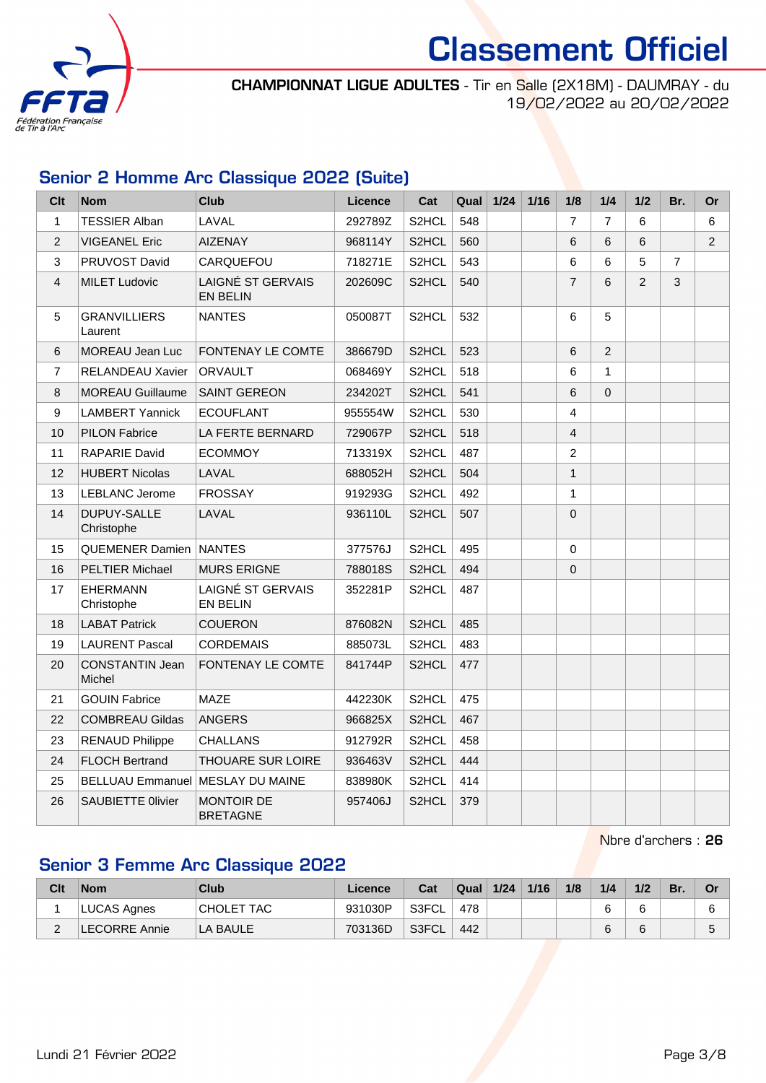

CHAMPIONNAT LIGUE ADULTES - Tir en Salle (2X18M) - DAUMRAY - du 19/02/2022 au 20/02/2022

#### Senior 2 Homme Arc Classique 2022 (Suite)

| Clt            | <b>Nom</b>                              | Club                                 | <b>Licence</b> | Cat                | Qual | $1/24$ | $1/16$ | 1/8            | 1/4            | 1/2 | Br.            | <b>Or</b>      |
|----------------|-----------------------------------------|--------------------------------------|----------------|--------------------|------|--------|--------|----------------|----------------|-----|----------------|----------------|
| $\mathbf{1}$   | <b>TESSIER Alban</b>                    | LAVAL                                | 292789Z        | S2HCL              | 548  |        |        | $\overline{7}$ | $\overline{7}$ | 6   |                | 6              |
| 2              | <b>VIGEANEL Eric</b>                    | <b>AIZENAY</b>                       | 968114Y        | S <sub>2</sub> HCL | 560  |        |        | 6              | 6              | 6   |                | $\overline{2}$ |
| 3              | PRUVOST David                           | CARQUEFOU                            | 718271E        | S2HCL              | 543  |        |        | 6              | 6              | 5   | $\overline{7}$ |                |
| 4              | <b>MILET Ludovic</b>                    | LAIGNÉ ST GERVAIS<br><b>EN BELIN</b> | 202609C        | S2HCL              | 540  |        |        | $\overline{7}$ | 6              | 2   | 3              |                |
| 5              | <b>GRANVILLIERS</b><br>Laurent          | <b>NANTES</b>                        | 050087T        | S2HCL              | 532  |        |        | 6              | 5              |     |                |                |
| 6              | MOREAU Jean Luc                         | <b>FONTENAY LE COMTE</b>             | 386679D        | S2HCL              | 523  |        |        | 6              | 2              |     |                |                |
| $\overline{7}$ | <b>RELANDEAU Xavier</b>                 | <b>ORVAULT</b>                       | 068469Y        | S2HCL              | 518  |        |        | 6              | 1              |     |                |                |
| 8              | <b>MOREAU Guillaume</b>                 | <b>SAINT GEREON</b>                  | 234202T        | S2HCL              | 541  |        |        | 6              | $\mathbf{0}$   |     |                |                |
| 9              | <b>LAMBERT Yannick</b>                  | <b>ECOUFLANT</b>                     | 955554W        | S <sub>2</sub> HCL | 530  |        |        | 4              |                |     |                |                |
| 10             | <b>PILON Fabrice</b>                    | LA FERTE BERNARD                     | 729067P        | S2HCL              | 518  |        |        | $\overline{4}$ |                |     |                |                |
| 11             | <b>RAPARIE David</b>                    | <b>ECOMMOY</b>                       | 713319X        | S2HCL              | 487  |        |        | $\overline{2}$ |                |     |                |                |
| 12             | <b>HUBERT Nicolas</b>                   | LAVAL                                | 688052H        | S2HCL              | 504  |        |        | 1              |                |     |                |                |
| 13             | <b>LEBLANC Jerome</b>                   | <b>FROSSAY</b>                       | 919293G        | S2HCL              | 492  |        |        | $\mathbf{1}$   |                |     |                |                |
| 14             | DUPUY-SALLE<br>Christophe               | LAVAL                                | 936110L        | S2HCL              | 507  |        |        | $\mathbf 0$    |                |     |                |                |
| 15             | <b>QUEMENER Damien</b>                  | <b>NANTES</b>                        | 377576J        | S2HCL              | 495  |        |        | $\mathbf 0$    |                |     |                |                |
| 16             | <b>PELTIER Michael</b>                  | <b>MURS ERIGNE</b>                   | 788018S        | S2HCL              | 494  |        |        | 0              |                |     |                |                |
| 17             | <b>EHERMANN</b><br>Christophe           | LAIGNÉ ST GERVAIS<br><b>EN BELIN</b> | 352281P        | S2HCL              | 487  |        |        |                |                |     |                |                |
| 18             | <b>LABAT Patrick</b>                    | <b>COUERON</b>                       | 876082N        | S2HCL              | 485  |        |        |                |                |     |                |                |
| 19             | <b>LAURENT Pascal</b>                   | <b>CORDEMAIS</b>                     | 885073L        | S2HCL              | 483  |        |        |                |                |     |                |                |
| 20             | <b>CONSTANTIN Jean</b><br><b>Michel</b> | <b>FONTENAY LE COMTE</b>             | 841744P        | S2HCL              | 477  |        |        |                |                |     |                |                |
| 21             | <b>GOUIN Fabrice</b>                    | <b>MAZE</b>                          | 442230K        | S2HCL              | 475  |        |        |                |                |     |                |                |
| 22             | <b>COMBREAU Gildas</b>                  | <b>ANGERS</b>                        | 966825X        | S2HCL              | 467  |        |        |                |                |     |                |                |
| 23             | <b>RENAUD Philippe</b>                  | <b>CHALLANS</b>                      | 912792R        | S2HCL              | 458  |        |        |                |                |     |                |                |
| 24             | <b>FLOCH Bertrand</b>                   | <b>THOUARE SUR LOIRE</b>             | 936463V        | S2HCL              | 444  |        |        |                |                |     |                |                |
| 25             | <b>BELLUAU Emmanuel MESLAY DU MAINE</b> |                                      | 838980K        | S2HCL              | 414  |        |        |                |                |     |                |                |
| 26             | <b>SAUBIETTE Olivier</b>                | <b>MONTOIR DE</b><br><b>BRETAGNE</b> | 957406J        | S2HCL              | 379  |        |        |                |                |     |                |                |

Nbre d'archers : 26

#### Senior 3 Femme Arc Classique 2022

| Clt | <b>Nom</b>    | <b>Club</b>       | Licence | Cat   | Qual | 1/24 | 1/16 | 1/8 | 1/4 | 1/2 | Br. | Or     |
|-----|---------------|-------------------|---------|-------|------|------|------|-----|-----|-----|-----|--------|
|     | LUCAS Agnes   | <b>CHOLET TAC</b> | 931030P | S3FCL | 478  |      |      |     |     |     |     | r<br>u |
|     | LECORRE Annie | ILA BAULE         | 703136D | S3FCL | 442  |      |      |     |     |     |     | ∽<br>J |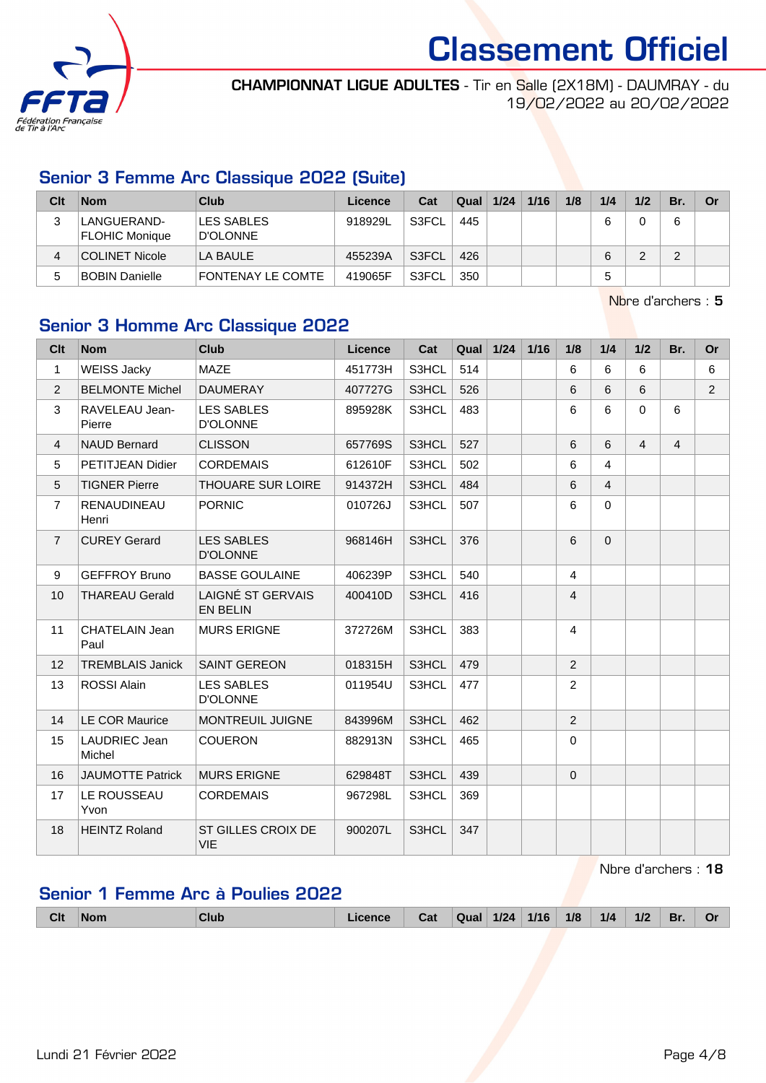

CHAMPIONNAT LIGUE ADULTES - Tir en Salle (2X18M) - DAUMRAY - du 19/02/2022 au 20/02/2022

#### Senior 3 Femme Arc Classique 2022 (Suite)

| Clt | <b>Nom</b>                           | Club                     | Licence | Cat                | Qual | 1/24 | 1/16 | 1/8 | 1/4 | 1/2 | Br. | <b>Or</b> |
|-----|--------------------------------------|--------------------------|---------|--------------------|------|------|------|-----|-----|-----|-----|-----------|
| 3   | LANGUERAND-<br><b>FLOHIC Monique</b> | LES SABLES<br>D'OLONNE   | 918929L | S3FCL              | 445  |      |      |     | 6   |     |     |           |
| 4   | COLINET Nicole                       | LA BAULE                 | 455239A | S <sub>3</sub> FCL | 426  |      |      |     | 6   |     | ⌒   |           |
|     | BOBIN Danielle                       | <b>FONTENAY LE COMTE</b> | 419065F | S3FCL              | 350  |      |      |     | 5   |     |     |           |

Nbre d'archers : 5

#### Senior 3 Homme Arc Classique 2022

| Clt            | <b>Nom</b>                    | <b>Club</b>                                 | <b>Licence</b> | Cat   | Qual | $1/24$ | $1/16$ | 1/8            | 1/4            | 1/2            | Br.            | <b>Or</b>      |
|----------------|-------------------------------|---------------------------------------------|----------------|-------|------|--------|--------|----------------|----------------|----------------|----------------|----------------|
| $\mathbf{1}$   | <b>WEISS Jacky</b>            | <b>MAZE</b>                                 | 451773H        | S3HCL | 514  |        |        | 6              | 6              | 6              |                | 6              |
| 2              | <b>BELMONTE Michel</b>        | <b>DAUMERAY</b>                             | 407727G        | S3HCL | 526  |        |        | 6              | 6              | 6              |                | $\overline{2}$ |
| 3              | RAVELEAU Jean-<br>Pierre      | <b>LES SABLES</b><br><b>D'OLONNE</b>        | 895928K        | S3HCL | 483  |        |        | 6              | 6              | $\Omega$       | 6              |                |
| $\overline{4}$ | <b>NAUD Bernard</b>           | <b>CLISSON</b>                              | 657769S        | S3HCL | 527  |        |        | 6              | 6              | $\overline{4}$ | $\overline{4}$ |                |
| 5              | <b>PETITJEAN Didier</b>       | <b>CORDEMAIS</b>                            | 612610F        | S3HCL | 502  |        |        | 6              | 4              |                |                |                |
| 5              | <b>TIGNER Pierre</b>          | <b>THOUARE SUR LOIRE</b>                    | 914372H        | S3HCL | 484  |        |        | 6              | $\overline{4}$ |                |                |                |
| 7              | <b>RENAUDINEAU</b><br>Henri   | <b>PORNIC</b>                               | 010726J        | S3HCL | 507  |        |        | 6              | $\Omega$       |                |                |                |
| $\overline{7}$ | <b>CUREY Gerard</b>           | <b>LES SABLES</b><br><b>D'OLONNE</b>        | 968146H        | S3HCL | 376  |        |        | 6              | $\Omega$       |                |                |                |
| 9              | <b>GEFFROY Bruno</b>          | <b>BASSE GOULAINE</b>                       | 406239P        | S3HCL | 540  |        |        | $\overline{4}$ |                |                |                |                |
| 10             | <b>THAREAU Gerald</b>         | <b>LAIGNÉ ST GERVAIS</b><br><b>EN BELIN</b> | 400410D        | S3HCL | 416  |        |        | $\overline{4}$ |                |                |                |                |
| 11             | <b>CHATELAIN Jean</b><br>Paul | <b>MURS ERIGNE</b>                          | 372726M        | S3HCL | 383  |        |        | $\overline{4}$ |                |                |                |                |
| 12             | <b>TREMBLAIS Janick</b>       | <b>SAINT GEREON</b>                         | 018315H        | S3HCL | 479  |        |        | $\overline{2}$ |                |                |                |                |
| 13             | <b>ROSSI Alain</b>            | <b>LES SABLES</b><br><b>D'OLONNE</b>        | 011954U        | S3HCL | 477  |        |        | $\overline{2}$ |                |                |                |                |
| 14             | <b>LE COR Maurice</b>         | <b>MONTREUIL JUIGNE</b>                     | 843996M        | S3HCL | 462  |        |        | $\overline{2}$ |                |                |                |                |
| 15             | LAUDRIEC Jean<br>Michel       | <b>COUERON</b>                              | 882913N        | S3HCL | 465  |        |        | $\mathbf 0$    |                |                |                |                |
| 16             | <b>JAUMOTTE Patrick</b>       | <b>MURS ERIGNE</b>                          | 629848T        | S3HCL | 439  |        |        | $\mathbf{0}$   |                |                |                |                |
| 17             | LE ROUSSEAU<br>Yvon           | <b>CORDEMAIS</b>                            | 967298L        | S3HCL | 369  |        |        |                |                |                |                |                |
| 18             | <b>HEINTZ Roland</b>          | ST GILLES CROIX DE<br><b>VIE</b>            | 900207L        | S3HCL | 347  |        |        |                |                |                |                |                |

Nbre d'archers : 18

#### Senior 1 Femme Arc à Poulies 2022

|  | <b>Clt</b> | 'Nom | Club | <b>Licence</b> | ا د<br>ua | Qual | $1/24$ | 1/16 | 1/8 | 1/4 | 1/2 | Br. | n.<br>U |
|--|------------|------|------|----------------|-----------|------|--------|------|-----|-----|-----|-----|---------|
|--|------------|------|------|----------------|-----------|------|--------|------|-----|-----|-----|-----|---------|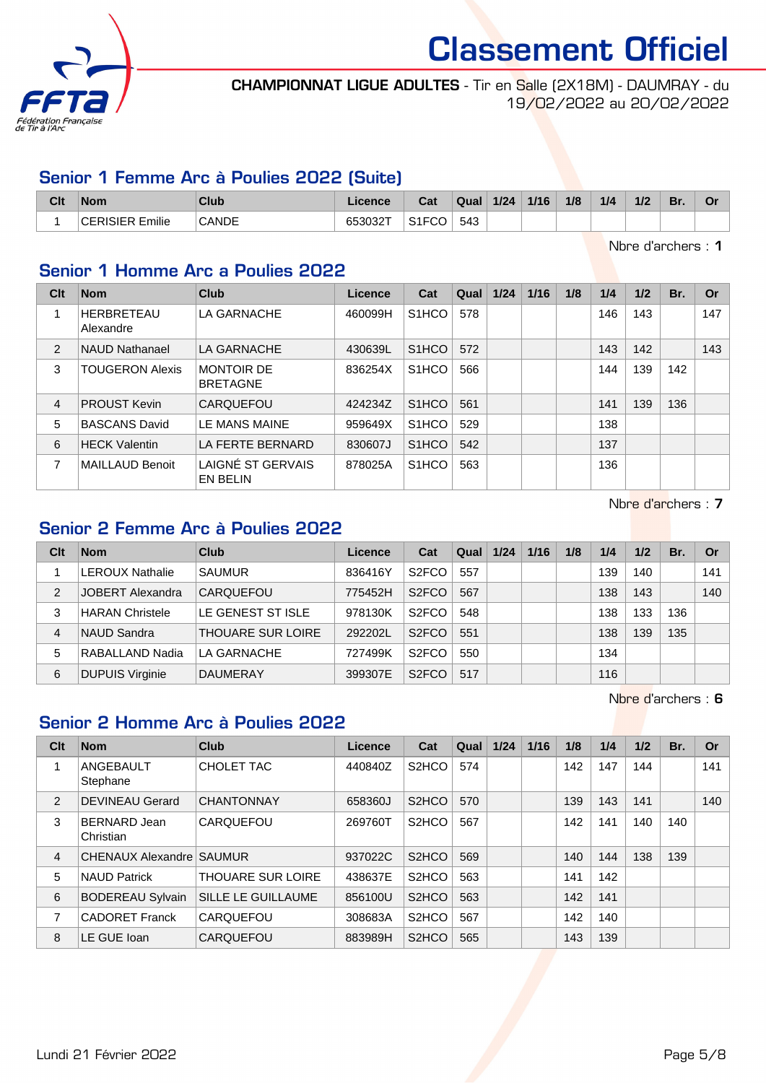

CHAMPIONNAT LIGUE ADULTES - Tir en Salle (2X18M) - DAUMRAY - du 19/02/2022 au 20/02/2022

#### Senior 1 Femme Arc à Poulies 2022 (Suite)

| Clt | <b>Nom</b>  | Club         | יווטכ.       | Cat | Qual | 1/24<br>. | 1/16 | 1/8 | 1/4 | 1/2 | Br. | vı |
|-----|-------------|--------------|--------------|-----|------|-----------|------|-----|-----|-----|-----|----|
|     | .<br>Emilie | <b>CANDE</b> | $   -$<br>∠ט |     | 543  |           |      |     |     |     |     |    |

Nbre d'archers : 1

#### Senior 1 Homme Arc a Poulies 2022

| Clt            | <b>Nom</b>                     | Club                                 | Licence | Cat                | Qual | 1/24 | 1/16 | 1/8 | 1/4 | 1/2 | Br. | Or  |
|----------------|--------------------------------|--------------------------------------|---------|--------------------|------|------|------|-----|-----|-----|-----|-----|
|                | <b>HERBRETEAU</b><br>Alexandre | LA GARNACHE                          | 460099H | S <sub>1</sub> HCO | 578  |      |      |     | 146 | 143 |     | 147 |
| 2              | <b>NAUD Nathanael</b>          | LA GARNACHE                          | 430639L | S <sub>1</sub> HCO | 572  |      |      |     | 143 | 142 |     | 143 |
| 3              | <b>TOUGERON Alexis</b>         | <b>MONTOIR DE</b><br><b>BRETAGNE</b> | 836254X | S <sub>1</sub> HCO | 566  |      |      |     | 144 | 139 | 142 |     |
| $\overline{4}$ | <b>PROUST Kevin</b>            | CARQUEFOU                            | 424234Z | S <sub>1</sub> HCO | 561  |      |      |     | 141 | 139 | 136 |     |
| 5              | <b>BASCANS David</b>           | LE MANS MAINE                        | 959649X | S <sub>1</sub> HCO | 529  |      |      |     | 138 |     |     |     |
| 6              | <b>HECK Valentin</b>           | LA FERTE BERNARD                     | 830607J | S <sub>1</sub> HCO | 542  |      |      |     | 137 |     |     |     |
| 7              | MAILLAUD Benoit                | LAIGNÉ ST GERVAIS<br>EN BELIN        | 878025A | S <sub>1</sub> HCO | 563  |      |      |     | 136 |     |     |     |

Nbre d'archers : 7

#### Senior 2 Femme Arc à Poulies 2022

| Clt            | <b>Nom</b>              | <b>Club</b>              | Licence | Cat                | Qual | 1/24 | 1/16 | 1/8 | 1/4 | 1/2 | Br. | Or  |
|----------------|-------------------------|--------------------------|---------|--------------------|------|------|------|-----|-----|-----|-----|-----|
|                | <b>LEROUX Nathalie</b>  | <b>SAUMUR</b>            | 836416Y | S <sub>2</sub> FCO | 557  |      |      |     | 139 | 140 |     | 141 |
| $\overline{2}$ | <b>JOBERT Alexandra</b> | CARQUEFOU                | 775452H | S <sub>2</sub> FCO | 567  |      |      |     | 138 | 143 |     | 140 |
| 3              | <b>HARAN Christele</b>  | <b>LE GENEST ST ISLE</b> | 978130K | S <sub>2</sub> FCO | 548  |      |      |     | 138 | 133 | 136 |     |
| 4              | NAUD Sandra             | <b>THOUARE SUR LOIRE</b> | 292202L | S <sub>2</sub> FCO | 551  |      |      |     | 138 | 139 | 135 |     |
| 5              | RABALLAND Nadia         | LA GARNACHE              | 727499K | S <sub>2</sub> FCO | 550  |      |      |     | 134 |     |     |     |
| 6              | <b>DUPUIS Virginie</b>  | <b>DAUMERAY</b>          | 399307E | S <sub>2</sub> FCO | 517  |      |      |     | 116 |     |     |     |

Nbre d'archers : 6

#### Senior 2 Homme Arc à Poulies 2022

| Clt            | <b>Nom</b>                | Club                     | Licence | Cat                            | Qual | 1/24 | 1/16 | 1/8 | 1/4 | 1/2 | Br. | Or  |
|----------------|---------------------------|--------------------------|---------|--------------------------------|------|------|------|-----|-----|-----|-----|-----|
|                | ANGEBAULT<br>Stephane     | CHOLET TAC               | 440840Z | S <sub>2</sub> H <sub>CO</sub> | 574  |      |      | 142 | 147 | 144 |     | 141 |
| 2              | <b>DEVINEAU Gerard</b>    | <b>CHANTONNAY</b>        | 658360J | S <sub>2</sub> HCO             | 570  |      |      | 139 | 143 | 141 |     | 140 |
| 3              | BERNARD Jean<br>Christian | CARQUEFOU                | 269760T | S <sub>2</sub> H <sub>CO</sub> | 567  |      |      | 142 | 141 | 140 | 140 |     |
| $\overline{4}$ | CHENAUX Alexandre SAUMUR  |                          | 937022C | S <sub>2</sub> H <sub>CO</sub> | 569  |      |      | 140 | 144 | 138 | 139 |     |
| 5              | <b>NAUD Patrick</b>       | <b>THOUARE SUR LOIRE</b> | 438637E | S <sub>2</sub> H <sub>CO</sub> | 563  |      |      | 141 | 142 |     |     |     |
| 6              | <b>BODEREAU Sylvain</b>   | SILLE LE GUILLAUME       | 856100U | S <sub>2</sub> H <sub>CO</sub> | 563  |      |      | 142 | 141 |     |     |     |
| 7              | <b>CADORET Franck</b>     | CARQUEFOU                | 308683A | S <sub>2</sub> H <sub>CO</sub> | 567  |      |      | 142 | 140 |     |     |     |
| 8              | LE GUE Ioan               | <b>CARQUEFOU</b>         | 883989H | S <sub>2</sub> HCO             | 565  |      |      | 143 | 139 |     |     |     |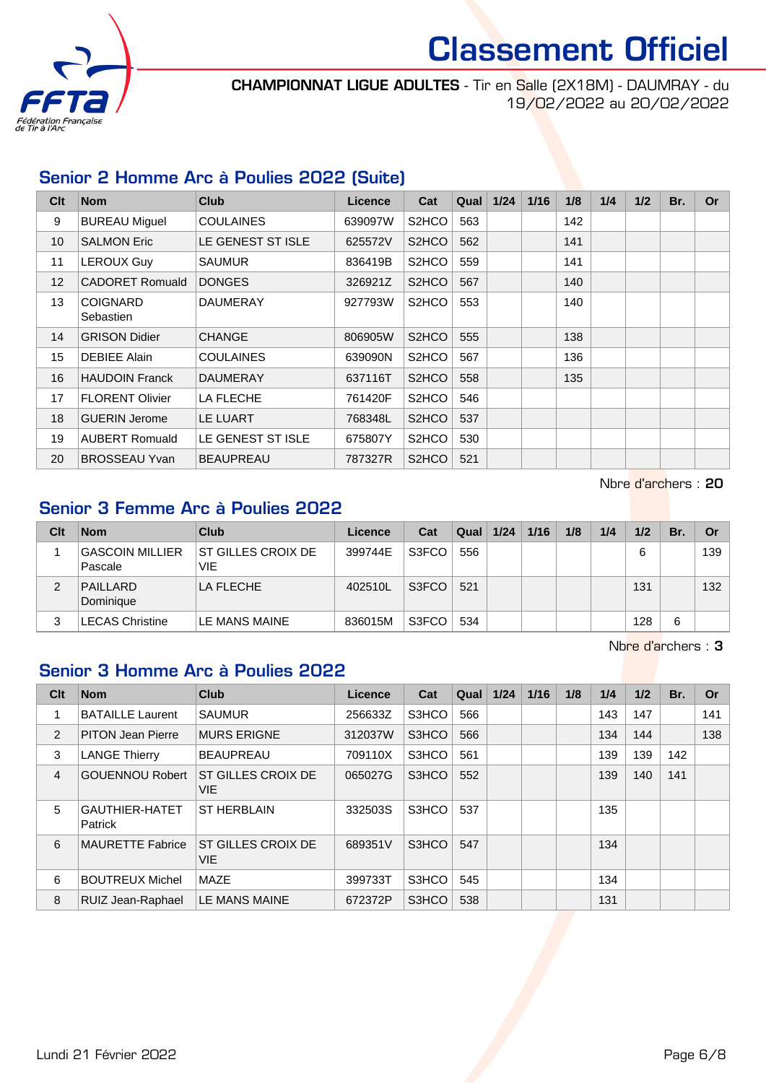

CHAMPIONNAT LIGUE ADULTES - Tir en Salle (2X18M) - DAUMRAY - du 19/02/2022 au 20/02/2022

#### Senior 2 Homme Arc à Poulies 2022 (Suite)

| Clt | <b>Nom</b>                   | <b>Club</b>       | Licence | Cat                | Qual | 1/24 | 1/16 | 1/8 | 1/4 | 1/2 | Br. | <b>Or</b> |
|-----|------------------------------|-------------------|---------|--------------------|------|------|------|-----|-----|-----|-----|-----------|
| 9   | <b>BUREAU Miguel</b>         | <b>COULAINES</b>  | 639097W | S <sub>2</sub> HCO | 563  |      |      | 142 |     |     |     |           |
| 10  | <b>SALMON Eric</b>           | LE GENEST ST ISLE | 625572V | S <sub>2</sub> HCO | 562  |      |      | 141 |     |     |     |           |
| 11  | <b>LEROUX Guy</b>            | <b>SAUMUR</b>     | 836419B | S <sub>2</sub> HCO | 559  |      |      | 141 |     |     |     |           |
| 12  | <b>CADORET Romuald</b>       | <b>DONGES</b>     | 326921Z | S <sub>2</sub> HCO | 567  |      |      | 140 |     |     |     |           |
| 13  | <b>COIGNARD</b><br>Sebastien | <b>DAUMERAY</b>   | 927793W | S <sub>2</sub> HCO | 553  |      |      | 140 |     |     |     |           |
| 14  | <b>GRISON Didier</b>         | <b>CHANGE</b>     | 806905W | S <sub>2</sub> HCO | 555  |      |      | 138 |     |     |     |           |
| 15  | <b>DEBIEE Alain</b>          | <b>COULAINES</b>  | 639090N | S <sub>2</sub> HCO | 567  |      |      | 136 |     |     |     |           |
| 16  | <b>HAUDOIN Franck</b>        | <b>DAUMERAY</b>   | 637116T | S <sub>2</sub> HCO | 558  |      |      | 135 |     |     |     |           |
| 17  | <b>FLORENT Olivier</b>       | LA FLECHE         | 761420F | S <sub>2</sub> HCO | 546  |      |      |     |     |     |     |           |
| 18  | <b>GUERIN Jerome</b>         | LE LUART          | 768348L | S <sub>2</sub> HCO | 537  |      |      |     |     |     |     |           |
| 19  | <b>AUBERT Romuald</b>        | LE GENEST ST ISLE | 675807Y | S <sub>2</sub> HCO | 530  |      |      |     |     |     |     |           |
| 20  | <b>BROSSEAU Yvan</b>         | <b>BEAUPREAU</b>  | 787327R | S <sub>2</sub> HCO | 521  |      |      |     |     |     |     |           |

Nbre d'archers : 20

### Senior 3 Femme Arc à Poulies 2022

| Clt | <b>Nom</b>                  | <b>Club</b>                       | Licence | Cat   | Qual | 1/24 | 1/16 | 1/8 | 1/4 | 1/2 | Br. | Or               |
|-----|-----------------------------|-----------------------------------|---------|-------|------|------|------|-----|-----|-----|-----|------------------|
|     | GASCOIN MILLIER <br>Pascale | IST GILLES CROIX DE<br><b>VIE</b> | 399744E | S3FCO | 556  |      |      |     |     | 6   |     | 139              |
| 2   | PAILLARD<br>Dominique       | LA FLECHE                         | 402510L | S3FCO | 521  |      |      |     |     | 131 |     | 132 <sup>2</sup> |
| 3   | <b>LECAS Christine</b>      | LE MANS MAINE                     | 836015M | S3FCO | 534  |      |      |     |     | 128 | 6   |                  |

Nbre d'archers : 3

#### Senior 3 Homme Arc à Poulies 2022

| Clt            | <b>Nom</b>                       | <b>Club</b>                      | Licence | Cat   | Qual | 1/24 | 1/16 | 1/8 | 1/4 | 1/2 | Br. | <b>Or</b> |
|----------------|----------------------------------|----------------------------------|---------|-------|------|------|------|-----|-----|-----|-----|-----------|
|                | <b>BATAILLE Laurent</b>          | <b>SAUMUR</b>                    | 256633Z | S3HCO | 566  |      |      |     | 143 | 147 |     | 141       |
| 2              | <b>PITON Jean Pierre</b>         | <b>MURS ERIGNE</b>               | 312037W | S3HCO | 566  |      |      |     | 134 | 144 |     | 138       |
| 3              | <b>LANGE Thierry</b>             | <b>BEAUPREAU</b>                 | 709110X | S3HCO | 561  |      |      |     | 139 | 139 | 142 |           |
| $\overline{4}$ | <b>GOUENNOU Robert</b>           | ST GILLES CROIX DE<br><b>VIE</b> | 065027G | S3HCO | 552  |      |      |     | 139 | 140 | 141 |           |
| 5              | <b>GAUTHIER-HATET</b><br>Patrick | <b>ST HERBLAIN</b>               | 332503S | S3HCO | 537  |      |      |     | 135 |     |     |           |
| 6              | <b>MAURETTE Fabrice</b>          | ST GILLES CROIX DE<br><b>VIE</b> | 689351V | S3HCO | 547  |      |      |     | 134 |     |     |           |
| 6              | <b>BOUTREUX Michel</b>           | MAZE                             | 399733T | S3HCO | 545  |      |      |     | 134 |     |     |           |
| 8              | RUIZ Jean-Raphael                | LE MANS MAINE                    | 672372P | S3HCO | 538  |      |      |     | 131 |     |     |           |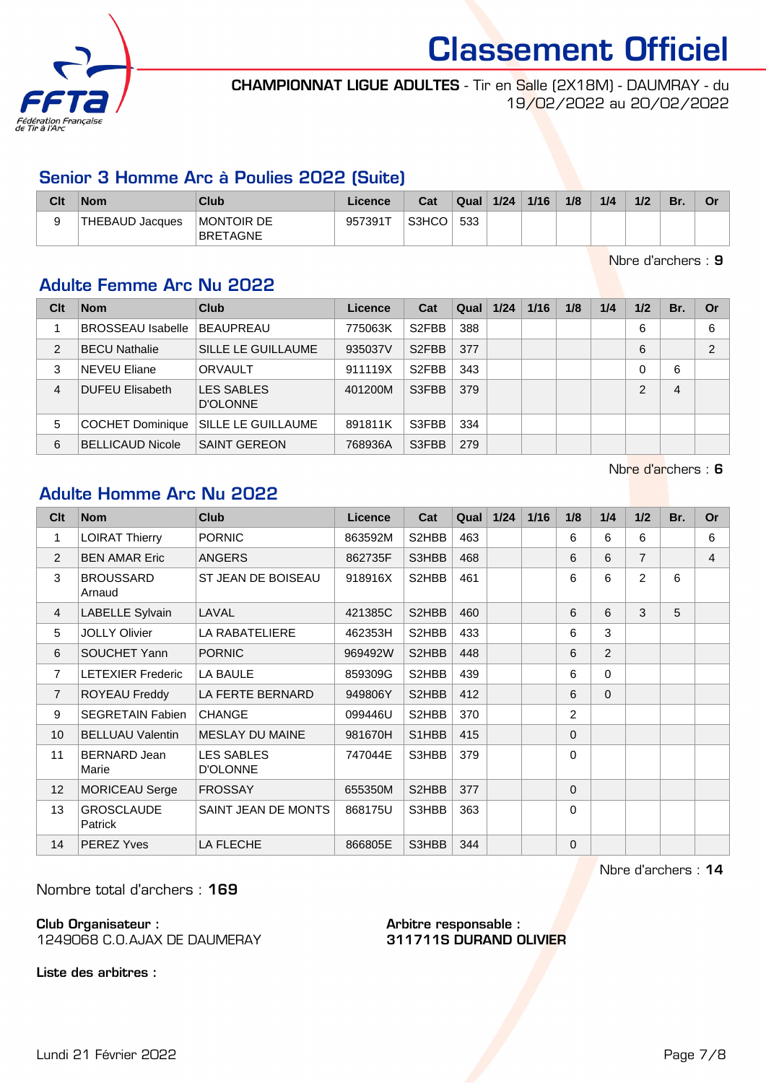

CHAMPIONNAT LIGUE ADULTES - Tir en Salle (2X18M) - DAUMRAY - du 19/02/2022 au 20/02/2022

#### Senior 3 Homme Arc à Poulies 2022 (Suite)

| Clt | <b>Nom</b>      | Club                   | ∟icence | Cat   | Qual | 1/24 | 1/16 | 1/8 | 1/4 | 1/2 | Br. | Λr<br>ັ |
|-----|-----------------|------------------------|---------|-------|------|------|------|-----|-----|-----|-----|---------|
|     | THEBAUD Jacques | Montoir de<br>BRETAGNE | 9573917 | S3HCO | 533  |      |      |     |     |     |     |         |

Nbre d'archers : 9

#### Adulte Femme Arc Nu 2022

| Clt | <b>Nom</b>               | Club                          | <b>Licence</b> | Cat                | Qual | 1/24 | 1/16 | 1/8 | 1/4 | 1/2            | Br. | Or             |
|-----|--------------------------|-------------------------------|----------------|--------------------|------|------|------|-----|-----|----------------|-----|----------------|
|     | <b>BROSSEAU Isabelle</b> | BEAUPREAU                     | 775063K        | S <sub>2</sub> FBB | 388  |      |      |     |     | 6              |     | 6              |
| 2   | <b>BECU Nathalie</b>     | SILLE LE GUILLAUME            | 935037V        | S <sub>2</sub> FBB | 377  |      |      |     |     | 6              |     | $\overline{2}$ |
| 3   | <b>NEVEU Eliane</b>      | <b>ORVAULT</b>                | 911119X        | S <sub>2</sub> FBB | 343  |      |      |     |     | $\Omega$       | 6   |                |
| 4   | <b>DUFEU Elisabeth</b>   | <b>LES SABLES</b><br>D'OLONNE | 401200M        | S3FBB              | 379  |      |      |     |     | $\mathfrak{p}$ | 4   |                |
| 5   | <b>COCHET Dominique</b>  | SILLE LE GUILLAUME            | 891811K        | S3FBB              | 334  |      |      |     |     |                |     |                |
| 6   | <b>BELLICAUD Nicole</b>  | <b>SAINT GEREON</b>           | 768936A        | S3FBB              | 279  |      |      |     |     |                |     |                |

Nbre d'archers : 6

#### Adulte Homme Arc Nu 2022

| Clt            | <b>Nom</b>                   | <b>Club</b>                          | Licence | Cat   | Qual | $1/24$ | 1/16 | 1/8            | 1/4      | 1/2            | Br. | <b>Or</b>      |
|----------------|------------------------------|--------------------------------------|---------|-------|------|--------|------|----------------|----------|----------------|-----|----------------|
| 1              | <b>LOIRAT Thierry</b>        | <b>PORNIC</b>                        | 863592M | S2HBB | 463  |        |      | 6              | 6        | 6              |     | 6              |
| 2              | <b>BEN AMAR Eric</b>         | <b>ANGERS</b>                        | 862735F | S3HBB | 468  |        |      | 6              | 6        | $\overline{7}$ |     | $\overline{4}$ |
| 3              | <b>BROUSSARD</b><br>Arnaud   | ST JEAN DE BOISEAU                   | 918916X | S2HBB | 461  |        |      | 6              | 6        | 2              | 6   |                |
| $\overline{4}$ | LABELLE Sylvain              | LAVAL                                | 421385C | S2HBB | 460  |        |      | 6              | 6        | 3              | 5   |                |
| 5              | <b>JOLLY Olivier</b>         | LA RABATELIERE                       | 462353H | S2HBB | 433  |        |      | 6              | 3        |                |     |                |
| 6              | SOUCHET Yann                 | <b>PORNIC</b>                        | 969492W | S2HBB | 448  |        |      | 6              | 2        |                |     |                |
| $\overline{7}$ | <b>LETEXIER Frederic</b>     | LA BAULE                             | 859309G | S2HBB | 439  |        |      | 6              | 0        |                |     |                |
| $\overline{7}$ | <b>ROYEAU Freddy</b>         | LA FERTE BERNARD                     | 949806Y | S2HBB | 412  |        |      | 6              | $\Omega$ |                |     |                |
| 9              | <b>SEGRETAIN Fabien</b>      | <b>CHANGE</b>                        | 099446U | S2HBB | 370  |        |      | $\overline{2}$ |          |                |     |                |
| 10             | <b>BELLUAU Valentin</b>      | <b>MESLAY DU MAINE</b>               | 981670H | S1HBB | 415  |        |      | $\Omega$       |          |                |     |                |
| 11             | <b>BERNARD Jean</b><br>Marie | <b>LES SABLES</b><br><b>D'OLONNE</b> | 747044E | S3HBB | 379  |        |      | $\Omega$       |          |                |     |                |
| 12             | <b>MORICEAU Serge</b>        | <b>FROSSAY</b>                       | 655350M | S2HBB | 377  |        |      | $\Omega$       |          |                |     |                |
| 13             | <b>GROSCLAUDE</b><br>Patrick | SAINT JEAN DE MONTS                  | 868175U | S3HBB | 363  |        |      | $\Omega$       |          |                |     |                |
| 14             | <b>PEREZ Yves</b>            | <b>LA FLECHE</b>                     | 866805E | S3HBB | 344  |        |      | $\Omega$       |          |                |     |                |

Nbre d'archers : 14

Nombre total d'archers : 169

Club Organisateur : 1249068 C.O.AJAX DE DAUMERAY Arbitre responsable : 311711S DURAND OLIVIER

Liste des arbitres :